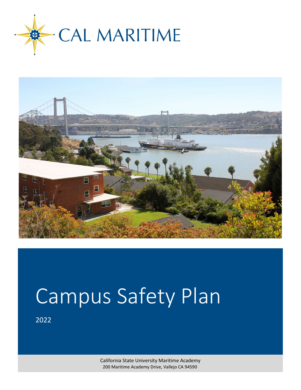



# Campus Safety Plan

2022

California State University Maritime Academy 200 Maritime Academy Drive, Vallejo CA 94590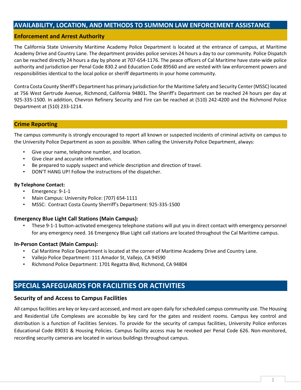## **AVAILABILITY, LOCATION, AND METHODS TO SUMMON LAW ENFORCEMENT ASSISTANCE**

### **Enforcement and Arrest Authority**

The California State University Maritime Academy Police Department is located at the entrance of campus, at Maritime Academy Drive and Country Lane. The department provides police services 24 hours a day to our community. Police Dispatch can be reached directly 24 hours a day by phone at 707-654-1176. The peace officers of Cal Maritime have state-wide police authority and jurisdiction per Penal Code 830.2 and Education Code 89560 and are vested with law enforcement powers and responsibilities identical to the local police or sheriff departments in your home community.

Contra Costa County Sheriff's Department has primary jurisdiction for the Maritime Safety and Security Center (MSSC) located at 756 West Gertrude Avenue, Richmond, California 94801*.* The Sheriff's Department can be reached 24 hours per day at 925-335-1500. In addition, Chevron Refinery Security and Fire can be reached at (510) 242-4200 and the Richmond Police Department at (510) 233-1214.

#### **Crime Reporting**

The campus community is strongly encouraged to report all known or suspected incidents of criminal activity on campus to the University Police Department as soon as possible. When calling the University Police Department, always:

- Give your name, telephone number, and location.
- Give clear and accurate information.
- Be prepared to supply suspect and vehicle description and direction of travel.
- DON'T HANG UP! Follow the instructions of the dispatcher.

#### **By Telephone Contact:**

- Emergency: 9-1-1
- Main Campus: University Police: (707) 654-1111
- MSSC: Contract Costa County Sherriff's Department: 925-335-1500

#### **Emergency Blue Light Call Stations (Main Campus):**

• These 9-1-1 button-activated emergency telephone stations will put you in direct contact with emergency personnel for any emergency need. 16 Emergency Blue Light call stations are located throughout the Cal Maritime campus.

#### **In-Person Contact (Main Campus):**

- Cal Maritime Police Department is located at the corner of Maritime Academy Drive and Country Lane.
- Vallejo Police Department: 111 Amador St, Vallejo, CA 94590
- Richmond Police Department: 1701 Regatta Blvd, Richmond, CA 94804

# **SPECIAL SAFEGUARDS FOR FACILITIES OR ACTIVITIES**

#### **Security of and Access to Campus Facilities**

All campus facilities are key or key-card accessed, and most are open daily for scheduled campus community use. The Housing and Residential Life Complexes are accessible by key card for the gates and resident rooms. Campus key control and distribution is a function of Facilities Services. To provide for the security of campus facilities, University Police enforces Educational Code 89031 & Housing Policies. Campus facility access may be revoked per Penal Code 626. Non-monitored, recording security cameras are located in various buildings throughout campus.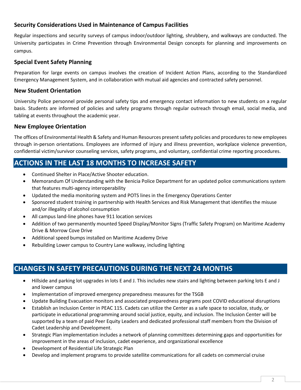# **Security Considerations Used in Maintenance of Campus Facilities**

Regular inspections and security surveys of campus indoor/outdoor lighting, shrubbery, and walkways are conducted. The University participates in Crime Prevention through Environmental Design concepts for planning and improvements on campus.

# **Special Event Safety Planning**

Preparation for large events on campus involves the creation of Incident Action Plans, according to the Standardized Emergency Management System, and in collaboration with mutual aid agencies and contracted safety personnel.

## **New Student Orientation**

University Police personnel provide personal safety tips and emergency contact information to new students on a regular basis. Students are informed of policies and safety programs through regular outreach through email, social media, and tabling at events throughout the academic year.

## **New Employee Orientation**

The offices of Environmental Health & Safety and Human Resources present safety policies and procedures to new employees through in-person orientations. Employees are informed of injury and illness prevention, workplace violence prevention, confidential victim/survivor counseling services, safety programs, and voluntary, confidential crime reporting procedures.

# **ACTIONS IN THE LAST 18 MONTHS TO INCREASE SAFETY**

- Continued Shelter in Place/Active Shooter education.
- Memorandum Of Understanding with the Benicia Police Department for an updated police communications system that features multi-agency interoperability
- Updated the media monitoring system and POTS lines in the Emergency Operations Center
- Sponsored student training in partnership with Health Services and Risk Management that identifies the misuse and/or illegality of alcohol consumption
- All campus land-line phones have 911 location services
- Addition of two permanently mounted Speed Display/Monitor Signs (Traffic Safety Program) on Maritime Academy Drive & Morrow Cove Drive
- Additional speed bumps installed on Maritime Academy Drive
- Rebuilding Lower campus to Country Lane walkway, including lighting

# **CHANGES IN SAFETY PRECAUTIONS DURING THE NEXT 24 MONTHS**

- Hillside and parking lot upgrades in lots E and J. This includes new stairs and lighting between parking lots E and J and lower campus
- Implementation of improved emergency preparedness measures for the TSGB
- Update Building Evacuation monitors and associated preparedness programs post COVID educational disruptions
- Establish an Inclusion Center in PEAC 115. Cadets can utilize the Center as a safe space to socialize, study, or participate in educational programming around social justice, equity, and inclusion. The Inclusion Center will be supported by a team of paid Peer Equity Leaders and dedicated professional staff members from the Division of Cadet Leadership and Development.
- Strategic Plan implementation includes a network of planning committees determining gaps and opportunities for improvement in the areas of inclusion, cadet experience, and organizational excellence
- Development of Residential Life Strategic Plan
- Develop and implement programs to provide satellite communications for all cadets on commercial cruise